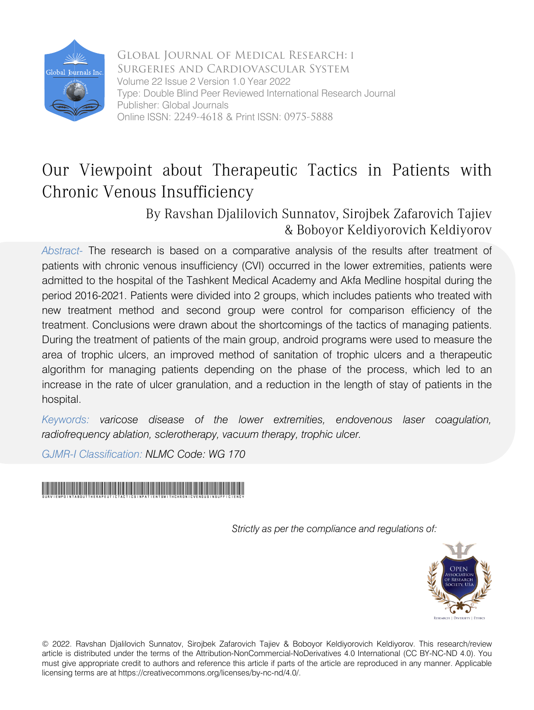

Global Journal of Medical Research: I Surgeries and Cardiovascular System Volume 22 Issue 2 Version 1.0 Year 2022 Type: Double Blind Peer Reviewed International Research Journal Publisher: Global Journals Online ISSN: 2249-4618 & Print ISSN: 0975-5888

## Our Viewpoint about Therapeutic Tactics in Patients with Chronic Venous Insufficiency

### By Ravshan Djalilovich Sunnatov, Sirojbek Zafarovich Tajiev & Boboyor Keldiyorovich Keldiyorov

Abstract- The research is based on a comparative analysis of the results after treatment of patients with chronic venous insufficiency (CVI) occurred in the lower extremities, patients were admitted to the hospital of the Tashkent Medical Academy and Akfa Medline hospital during the period 2016-2021. Patients were divided into 2 groups, which includes patients who treated with new treatment method and second group were control for comparison efficiency of the treatment. Conclusions were drawn about the shortcomings of the tactics of managing patients. During the treatment of patients of the main group, android programs were used to measure the area of trophic ulcers, an improved method of sanitation of trophic ulcers and a therapeutic algorithm for managing patients depending on the phase of the process, which led to an increase in the rate of ulcer granulation, and a reduction in the length of stay of patients in the hospital.

*Keywords: varicose disease of the lower extremities, endovenous laser coagulation, radiofrequency ablation, sclerotherapy, vacuum therapy, trophic ulcer.* 

*GJMR-I Classification: NLMC Code: WG 170*

## OurViewpointaboutTherapeuticTacticsinPatientswithChronicVenousInsufficiency

*Strictly as per the compliance and regulations of:*



© 2022. Ravshan Djalilovich Sunnatov, Sirojbek Zafarovich Tajiev & Boboyor Keldiyorovich Keldiyorov. This research/review article is distributed under the terms of the Attribution-NonCommercial-NoDerivatives 4.0 International (CC BY-NC-ND 4.0). You must give appropriate credit to authors and reference this article if parts of the article are reproduced in any manner. Applicable licensing terms are at https://creativecommons.org/licenses/by-nc-nd/4.0/.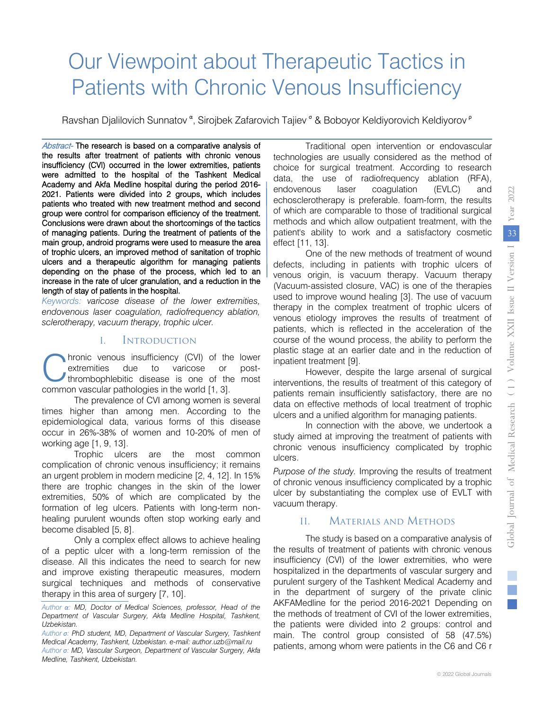# Our Viewpoint about Therapeutic Tactics in Patients with Chronic Venous Insufficiency

Ravshan Djalilovich Sunnatov <sup>α</sup>, Sirojbek Zafarovich Tajiev <sup>σ</sup> & Boboyor Keldiyorovich Keldiyorov <sup>ρ</sup>

Abstract- The research is based on a comparative analysis of the results after treatment of patients with chronic venous insufficiency (CVI) occurred in the lower extremities, patients were admitted to the hospital of the Tashkent Medical Academy and Akfa Medline hospital during the period 2016- 2021. Patients were divided into 2 groups, which includes patients who treated with new treatment method and second group were control for comparison efficiency of the treatment. Conclusions were drawn about the shortcomings of the tactics of managing patients. During the treatment of patients of the main group, android programs were used to measure the area of trophic ulcers, an improved method of sanitation of trophic ulcers and a therapeutic algorithm for managing patients depending on the phase of the process, which led to an increase in the rate of ulcer granulation, and a reduction in the length of stay of patients in the hospital.

*Keywords: varicose disease of the lower extremities, endovenous laser coagulation, radiofrequency ablation, sclerotherapy, vacuum therapy, trophic ulcer.*

#### I. Introduction

hronic venous insufficiency (CVI) of the lower extremities due to varicose or postthrombophlebitic disease is one of the most **C** hronic venous insufficiency (CVI) of the extremities due to varicose or thromhophlebitic disease is one of the common vascular pathologies in the world [1, 3].

The prevalence of CVI among women is several times higher than among men. According to the epidemiological data, various forms of this disease occur in 26%-38% of women and 10-20% of men of working age [1, 9, 13].

Trophic ulcers are the most common complication of chronic venous insufficiency; it remains an urgent problem in modern medicine [2, 4, 12]. In 15% there are trophic changes in the skin of the lower extremities, 50% of which are complicated by the formation of leg ulcers. Patients with long-term nonhealing purulent wounds often stop working early and become disabled [5, 8].

Only a complex effect allows to achieve healing of a peptic ulcer with a long-term remission of the disease. All this indicates the need to search for new and improve existing therapeutic measures, modern surgical techniques and methods of conservative therapy in this area of surgery [7, 10].

Traditional open intervention or endovascular technologies are usually considered as the method of choice for surgical treatment. According to research data, the use of radiofrequency ablation (RFA), endovenous laser coagulation (EVLC) and echosclerotherapy is preferable. foam-form, the results of which are comparable to those of traditional surgical methods and which allow outpatient treatment, with the patient's ability to work and a satisfactory cosmetic effect [11, 13].

One of the new methods of treatment of wound defects, including in patients with trophic ulcers of venous origin, is vacuum therapy. Vacuum therapy (Vacuum-assisted closure, VAC) is one of the therapies used to improve wound healing [3]. The use of vacuum therapy in the complex treatment of trophic ulcers of venous etiology improves the results of treatment of patients, which is reflected in the acceleration of the course of the wound process, the ability to perform the plastic stage at an earlier date and in the reduction of inpatient treatment [9].

However, despite the large arsenal of surgical interventions, the results of treatment of this category of patients remain insufficiently satisfactory, there are no data on effective methods of local treatment of trophic ulcers and a unified algorithm for managing patients.

In connection with the above, we undertook a study aimed at improving the treatment of patients with chronic venous insufficiency complicated by trophic ulcers.

*Purpose of the study.* Improving the results of treatment of chronic venous insufficiency complicated by a trophic ulcer by substantiating the complex use of EVLT with vacuum therapy.

#### II. Materials and Methods

The study is based on a comparative analysis of the results of treatment of patients with chronic venous insufficiency (CVI) of the lower extremities, who were hospitalized in the departments of vascular surgery and purulent surgery of the Tashkent Medical Academy and in the department of surgery of the private clinic AKFAMedline for the period 2016-2021 Depending on the methods of treatment of CVI of the lower extremities, the patients were divided into 2 groups: control and main. The control group consisted of 58 (47.5%) patients, among whom were patients in the C6 and C6 r

*Author α: MD, Doctor of Medical Sciences, professor, Head of the Department of Vascular Surgery, Akfa Medline Hospital, Tashkent, Uzbekistan.*

*Author σ: PhD student, MD, Department of Vascular Surgery, Tashkent Medical Academy, Tashkent, Uzbekistan. e-mail[: author.uzb@mail.ru](mailto:author.uzb@mail.ru)*

*Author σ: MD, Vascular Surgeon, Department of Vascular Surgery, Akfa Medline, Tashkent, Uzbekistan.*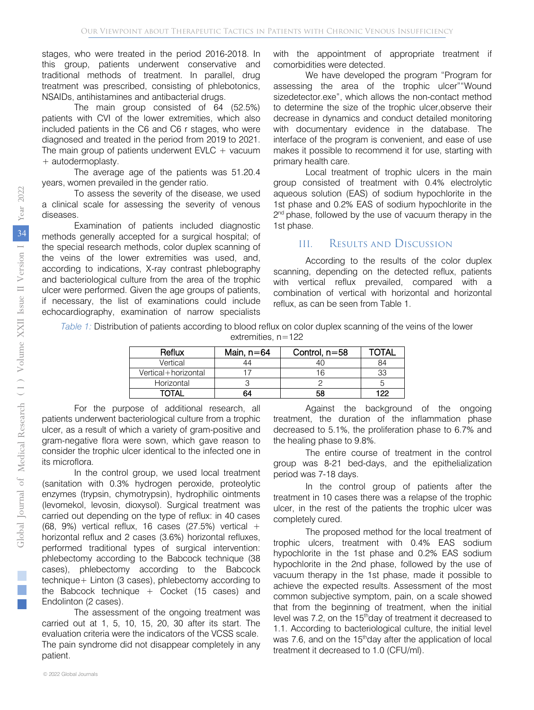stages, who were treated in the period 2016-2018. In this group, patients underwent conservative and traditional methods of treatment. In parallel, drug treatment was prescribed, consisting of phlebotonics, NSAIDs, antihistamines and antibacterial drugs.

The main group consisted of 64 (52.5%) patients with CVI of the lower extremities, which also included patients in the C6 and C6 r stages, who were diagnosed and treated in the period from 2019 to 2021. The main group of patients underwent  $EVC + vacuum$ + autodermoplasty.

The average age of the patients was 51.20.4 years, women prevailed in the gender ratio.

To assess the severity of the disease, we used a clinical scale for assessing the severity of venous diseases.

Examination of patients included diagnostic methods generally accepted for a surgical hospital; of the special research methods, color duplex scanning of the veins of the lower extremities was used, and, according to indications, X-ray contrast phlebography and bacteriological culture from the area of the trophic ulcer were performed. Given the age groups of patients, if necessary, the list of examinations could include echocardiography, examination of narrow specialists with the appointment of appropriate treatment if comorbidities were detected.

We have developed the program "Program for assessing the area of the trophic ulcer""Wound sizedetector.exe", which allows the non-contact method to determine the size of the trophic ulcer,observe their decrease in dynamics and conduct detailed monitoring with documentary evidence in the database. The interface of the program is convenient, and ease of use makes it possible to recommend it for use, starting with primary health care.

Local treatment of trophic ulcers in the main group consisted of treatment with 0.4% electrolytic aqueous solution (EAS) of sodium hypochlorite in the 1st phase and 0.2% EAS of sodium hypochlorite in the  $2<sup>nd</sup>$  phase, followed by the use of vacuum therapy in the 1st phase.

#### III. Results and Discussion

According to the results of the color duplex scanning, depending on the detected reflux, patients with vertical reflux prevailed, compared with a combination of vertical with horizontal and horizontal reflux, as can be seen from Table 1.

*Table 1:* Distribution of patients according to blood reflux on color duplex scanning of the veins of the lower extremities, n=122

| Reflux              | Main, $n = 64$ | Control, n=58 | OTAI |
|---------------------|----------------|---------------|------|
| Vertical            | 44             |               | 84   |
| Vertical+horizontal |                |               | 33   |
| Horizontal          |                |               |      |
| ΤΩΤΔΙ               | 64             | 58            | 122  |

For the purpose of additional research, all patients underwent bacteriological culture from a trophic ulcer, as a result of which a variety of gram-positive and gram-negative flora were sown, which gave reason to consider the trophic ulcer identical to the infected one in its microflora.

In the control group, we used local treatment (sanitation with 0.3% hydrogen peroxide, proteolytic enzymes (trypsin, chymotrypsin), hydrophilic ointments (levomekol, levosin, dioxysol). Surgical treatment was carried out depending on the type of reflux: in 40 cases (68, 9%) vertical reflux, 16 cases (27.5%) vertical  $+$ horizontal reflux and 2 cases (3.6%) horizontal refluxes, performed traditional types of surgical intervention: phlebectomy according to the Babcock technique (38 cases), phlebectomy according to the Babcock technique+ Linton (3 cases), phlebectomy according to the Babcock technique  $+$  Cocket (15 cases) and Endolinton (2 cases).

The assessment of the ongoing treatment was carried out at 1, 5, 10, 15, 20, 30 after its start. The evaluation criteria were the indicators of the VCSS scale. The pain syndrome did not disappear completely in any patient.

Against the background of the ongoing treatment, the duration of the inflammation phase decreased to 5.1%, the proliferation phase to 6.7% and the healing phase to 9.8%.

The entire course of treatment in the control group was 8-21 bed-days, and the epithelialization period was 7-18 days.

In the control group of patients after the treatment in 10 cases there was a relapse of the trophic ulcer, in the rest of the patients the trophic ulcer was completely cured.

The proposed method for the local treatment of trophic ulcers, treatment with 0.4% EAS sodium hypochlorite in the 1st phase and 0.2% EAS sodium hypochlorite in the 2nd phase, followed by the use of vacuum therapy in the 1st phase, made it possible to achieve the expected results. Assessment of the most common subjective symptom, pain, on a scale showed that from the beginning of treatment, when the initial level was 7.2, on the  $15<sup>th</sup>$ day of treatment it decreased to 1.1. According to bacteriological culture, the initial level was 7.6, and on the 15<sup>th</sup>day after the application of local treatment it decreased to 1.0 (CFU/ml).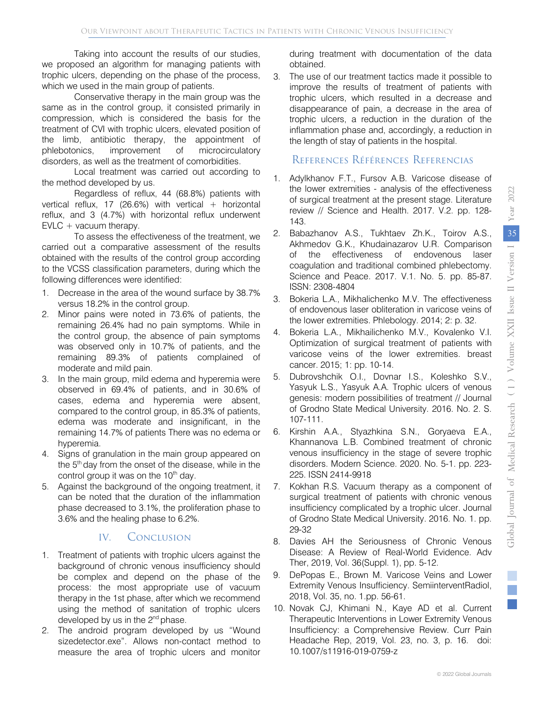Taking into account the results of our studies, we proposed an algorithm for managing patients with trophic ulcers, depending on the phase of the process, which we used in the main group of patients.

Conservative therapy in the main group was the same as in the control group, it consisted primarily in compression, which is considered the basis for the treatment of CVI with trophic ulcers, elevated position of the limb, antibiotic therapy, the appointment of phlebotonics, improvement of microcirculatory disorders, as well as the treatment of comorbidities.

Local treatment was carried out according to the method developed by us.

Regardless of reflux, 44 (68.8%) patients with vertical reflux, 17 (26.6%) with vertical  $+$  horizontal reflux, and 3 (4.7%) with horizontal reflux underwent  $EVLC + vacuum$  therapy.

To assess the effectiveness of the treatment, we carried out a comparative assessment of the results obtained with the results of the control group according to the VCSS classification parameters, during which the following differences were identified:

- 1. Decrease in the area of the wound surface by 38.7% versus 18.2% in the control group.
- 2. Minor pains were noted in 73.6% of patients, the remaining 26.4% had no pain symptoms. While in the control group, the absence of pain symptoms was observed only in 10.7% of patients, and the remaining 89.3% of patients complained of moderate and mild pain.
- 3. In the main group, mild edema and hyperemia were observed in 69.4% of patients, and in 30.6% of cases, edema and hyperemia were absent, compared to the control group, in 85.3% of patients, edema was moderate and insignificant, in the remaining 14.7% of patients There was no edema or hyperemia.
- 4. Signs of granulation in the main group appeared on the 5<sup>th</sup> day from the onset of the disease, while in the control group it was on the  $10<sup>th</sup>$  day.
- 5. Against the background of the ongoing treatment, it can be noted that the duration of the inflammation phase decreased to 3.1%, the proliferation phase to 3.6% and the healing phase to 6.2%.

#### IV. Conclusion

- 1. Treatment of patients with trophic ulcers against the background of chronic venous insufficiency should be complex and depend on the phase of the process: the most appropriate use of vacuum therapy in the 1st phase, after which we recommend using the method of sanitation of trophic ulcers developed by us in the  $2^{nd}$  phase.
- 2. The android program developed by us "Wound sizedetector.exe". Allows non-contact method to measure the area of trophic ulcers and monitor

during treatment with documentation of the data obtained.

3. The use of our treatment tactics made it possible to improve the results of treatment of patients with trophic ulcers, which resulted in a decrease and disappearance of pain, a decrease in the area of trophic ulcers, a reduction in the duration of the inflammation phase and, accordingly, a reduction in the length of stay of patients in the hospital.

#### References Références Referencias

- 1. Adylkhanov F.T., Fursov A.B. Varicose disease of the lower extremities - analysis of the effectiveness of surgical treatment at the present stage. Literature review // Science and Health. 2017. V.2. pp. 128- 143.
- 2. Babazhanov A.S., Tukhtaev Zh.K., Toirov A.S., Akhmedov G.K., Khudainazarov U.R. Comparison of the effectiveness of endovenous laser coagulation and traditional combined phlebectomy. Science and Peace. 2017. V.1. No. 5. pp. 85-87. ISSN: 2308-4804
- 3. Bokeria L.A., Mikhalichenko M.V. The effectiveness of endovenous laser obliteration in varicose veins of the lower extremities. Phlebology. 2014; 2: p. 32.
- 4. Bokeria L.A., Mikhailichenko M.V., Kovalenko V.I. Optimization of surgical treatment of patients with varicose veins of the lower extremities. breast cancer. 2015; 1: pp. 10-14.
- 5. Dubrovshchik O.I., Dovnar I.S., Koleshko S.V., Yasyuk L.S., Yasyuk A.A. Trophic ulcers of venous genesis: modern possibilities of treatment // Journal of Grodno State Medical University. 2016. No. 2. S. 107-111.
- 6. Kirshin A.A., Styazhkina S.N., Goryaeva E.A., Khannanova L.B. Combined treatment of chronic venous insufficiency in the stage of severe trophic disorders. Modern Science. 2020. No. 5-1. pp. 223- 225. ISSN 2414-9918
- 7. Kokhan R.S. Vacuum therapy as a component of surgical treatment of patients with chronic venous insufficiency complicated by a trophic ulcer. Journal of Grodno State Medical University. 2016. No. 1. pp. 29-32
- 8. Davies AH the Seriousness of Chronic Venous Disease: A Review of Real-World Evidence. Adv Ther, 2019, Vol. 36(Suppl. 1), pp. 5-12.
- 9. DePopas E., Brown M. Varicose Veins and Lower Extremity Venous Insufficiency. SemiinterventRadiol, 2018, Vol. 35, no. 1.pp. 56-61.
- 10. Novak CJ, Khimani N., Kaye AD et al. Current Therapeutic Interventions in Lower Extremity Venous Insufficiency: a Comprehensive Review. Curr Pain Headache Rep, 2019, Vol. 23, no. 3, p. 16. doi: 10.1007/s11916-019-0759-z